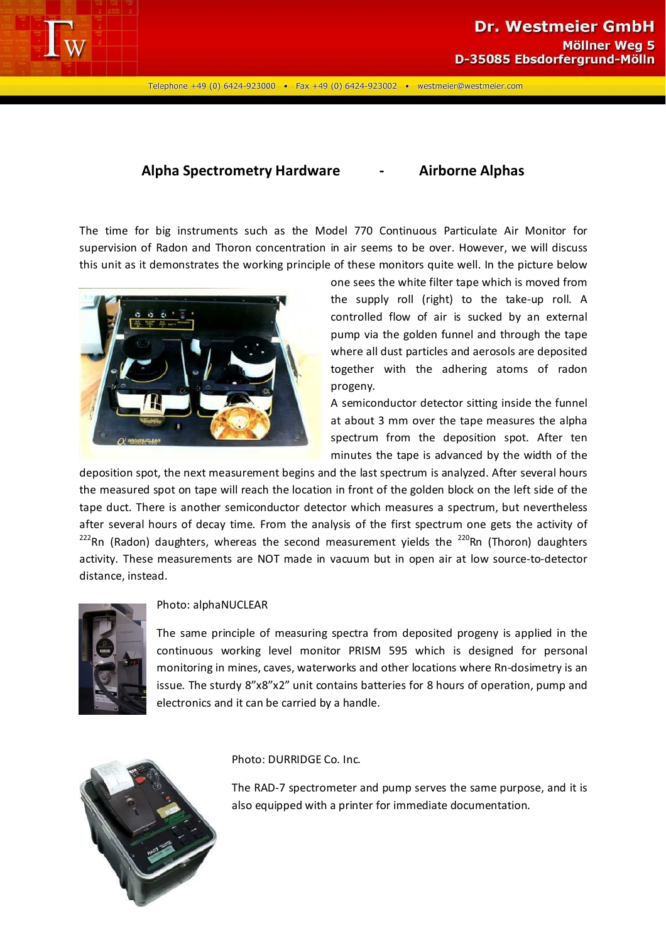

Telephone +49 (0) 6424-923000 • Fax +49 (0) 6424-923002 • westmeier@westmeier.com

## **Alpha Spectrometry Hardware - Airborne Alphas**

The time for big instruments such as the Model 770 Continuous Particulate Air Monitor for supervision of Radon and Thoron concentration in air seems to be over. However, we will discuss this unit as it demonstrates the working principle of these monitors quite well. In the picture below



one sees the white filter tape which is moved from the supply roll (right) to the take-up roll. A controlled flow of air is sucked by an external pump via the golden funnel and through the tape where all dust particles and aerosols are deposited together with the adhering atoms of radon progeny.

A semiconductor detector sitting inside the funnel at about 3 mm over the tape measures the alpha spectrum from the deposition spot. After ten minutes the tape is advanced by the width of the

deposition spot, the next measurement begins and the last spectrum is analyzed. After several hours the measured spot on tape will reach the location in front of the golden block on the left side of the tape duct. There is another semiconductor detector which measures a spectrum, but nevertheless after several hours of decay time. From the analysis of the first spectrum one gets the activity of  $222$ Rn (Radon) daughters, whereas the second measurement yields the  $220$ Rn (Thoron) daughters activity. These measurements are NOT made in vacuum but in open air at low source-to-detector distance, instead.



## Photo: alphaNUCLEAR

The same principle of measuring spectra from deposited progeny is applied in the continuous working level monitor PRISM 595 which is designed for personal monitoring in mines, caves, waterworks and other locations where Rn-dosimetry is an issue. The sturdy 8"x8"x2" unit contains batteries for 8 hours of operation, pump and electronics and it can be carried by a handle.



Photo: DURRIDGE Co. Inc.

The RAD-7 spectrometer and pump serves the same purpose, and it is also equipped with a printer for immediate documentation.